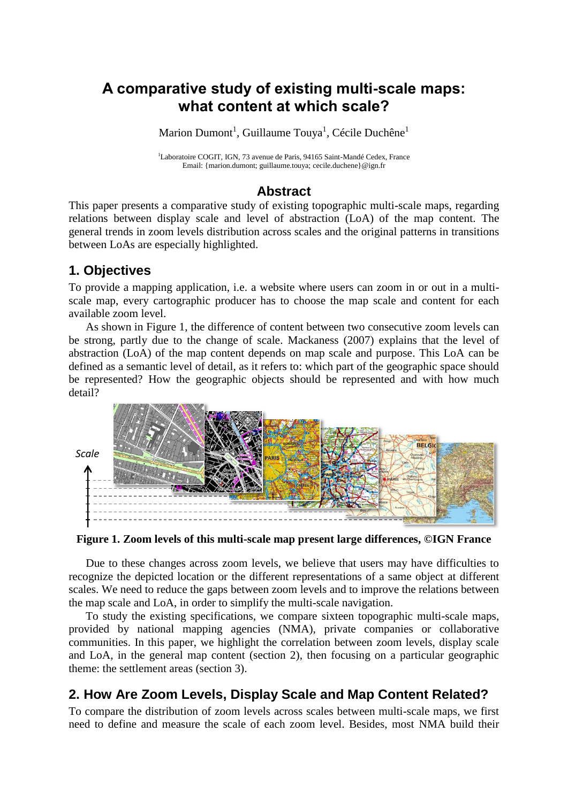# **A comparative study of existing multi-scale maps: what content at which scale?**

Marion Dumont $^1$ , Guillaume Touya $^1$ , Cécile Duchêne $^1$ 

<sup>1</sup>Laboratoire COGIT, IGN, 73 avenue de Paris, 94165 Saint-Mandé Cedex, France Email: {marion.dumont; guillaume.touya; cecile.duchene}@ign.fr

### **Abstract**

This paper presents a comparative study of existing topographic multi-scale maps, regarding relations between display scale and level of abstraction (LoA) of the map content. The general trends in zoom levels distribution across scales and the original patterns in transitions between LoAs are especially highlighted.

### **1. Objectives**

To provide a mapping application, i.e. a website where users can zoom in or out in a multiscale map, every cartographic producer has to choose the map scale and content for each available zoom level.

As shown in Figure 1, the difference of content between two consecutive zoom levels can be strong, partly due to the change of scale. Mackaness (2007) explains that the level of abstraction (LoA) of the map content depends on map scale and purpose. This LoA can be defined as a semantic level of detail, as it refers to: which part of the geographic space should be represented? How the geographic objects should be represented and with how much detail?



**Figure 1. Zoom levels of this multi-scale map present large differences, ©IGN France**

Due to these changes across zoom levels, we believe that users may have difficulties to recognize the depicted location or the different representations of a same object at different scales. We need to reduce the gaps between zoom levels and to improve the relations between the map scale and LoA, in order to simplify the multi-scale navigation.

To study the existing specifications, we compare sixteen topographic multi-scale maps, provided by national mapping agencies (NMA), private companies or collaborative communities. In this paper, we highlight the correlation between zoom levels, display scale and LoA, in the general map content (section 2), then focusing on a particular geographic theme: the settlement areas (section 3).

## **2. How Are Zoom Levels, Display Scale and Map Content Related?**

To compare the distribution of zoom levels across scales between multi-scale maps, we first need to define and measure the scale of each zoom level. Besides, most NMA build their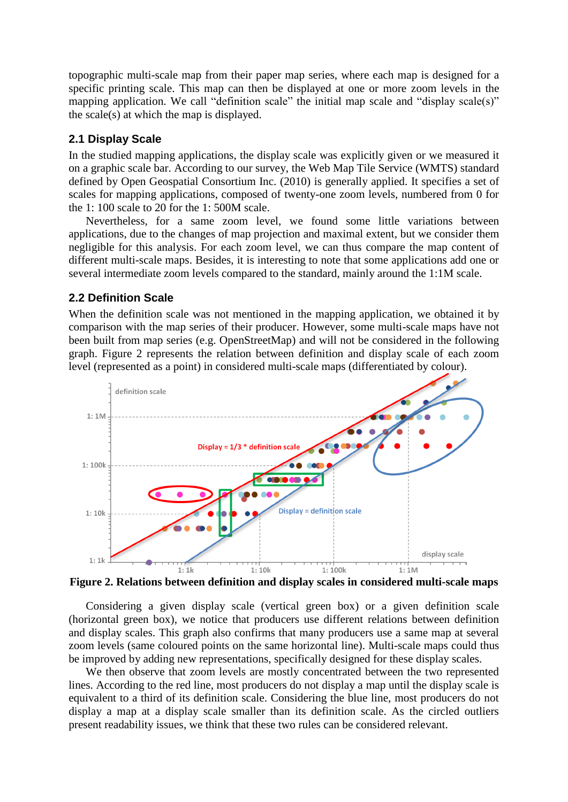topographic multi-scale map from their paper map series, where each map is designed for a specific printing scale. This map can then be displayed at one or more zoom levels in the mapping application. We call "definition scale" the initial map scale and "display scale(s)" the scale(s) at which the map is displayed.

#### **2.1 Display Scale**

In the studied mapping applications, the display scale was explicitly given or we measured it on a graphic scale bar. According to our survey, the Web Map Tile Service (WMTS) standard defined by Open Geospatial Consortium Inc. (2010) is generally applied. It specifies a set of scales for mapping applications, composed of twenty-one zoom levels, numbered from 0 for the 1: 100 scale to 20 for the 1: 500M scale.

Nevertheless, for a same zoom level, we found some little variations between applications, due to the changes of map projection and maximal extent, but we consider them negligible for this analysis. For each zoom level, we can thus compare the map content of different multi-scale maps. Besides, it is interesting to note that some applications add one or several intermediate zoom levels compared to the standard, mainly around the 1:1M scale.

#### **2.2 Definition Scale**

When the definition scale was not mentioned in the mapping application, we obtained it by comparison with the map series of their producer. However, some multi-scale maps have not been built from map series (e.g. OpenStreetMap) and will not be considered in the following graph. Figure 2 represents the relation between definition and display scale of each zoom level (represented as a point) in considered multi-scale maps (differentiated by colour).



**Figure 2. Relations between definition and display scales in considered multi-scale maps**

Considering a given display scale (vertical green box) or a given definition scale (horizontal green box), we notice that producers use different relations between definition and display scales. This graph also confirms that many producers use a same map at several zoom levels (same coloured points on the same horizontal line). Multi-scale maps could thus be improved by adding new representations, specifically designed for these display scales.

We then observe that zoom levels are mostly concentrated between the two represented lines. According to the red line, most producers do not display a map until the display scale is equivalent to a third of its definition scale. Considering the blue line, most producers do not display a map at a display scale smaller than its definition scale. As the circled outliers present readability issues, we think that these two rules can be considered relevant.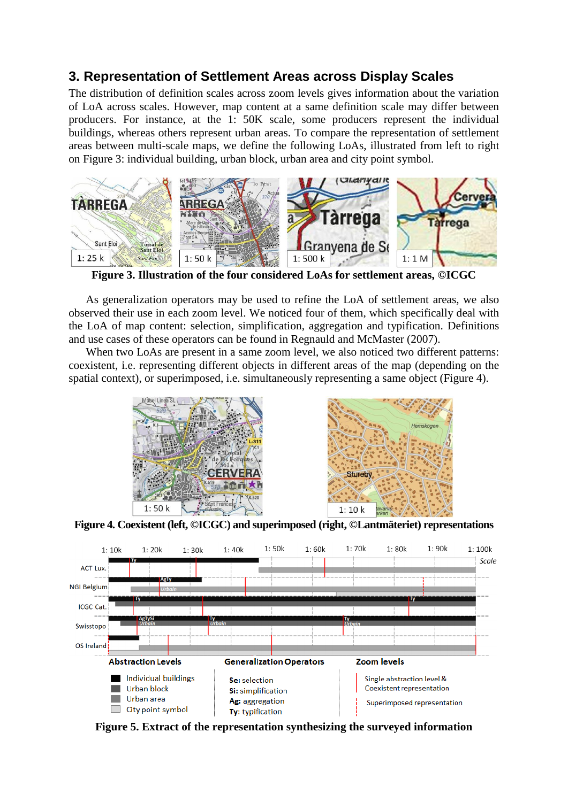## **3. Representation of Settlement Areas across Display Scales**

The distribution of definition scales across zoom levels gives information about the variation of LoA across scales. However, map content at a same definition scale may differ between producers. For instance, at the 1: 50K scale, some producers represent the individual buildings, whereas others represent urban areas. To compare the representation of settlement areas between multi-scale maps, we define the following LoAs, illustrated from left to right on Figure 3: individual building, urban block, urban area and city point symbol.



**Figure 3. Illustration of the four considered LoAs for settlement areas, ©ICGC**

As generalization operators may be used to refine the LoA of settlement areas, we also observed their use in each zoom level. We noticed four of them, which specifically deal with the LoA of map content: selection, simplification, aggregation and typification. Definitions and use cases of these operators can be found in Regnauld and McMaster (2007).

When two LoAs are present in a same zoom level, we also noticed two different patterns: coexistent, i.e. representing different objects in different areas of the map (depending on the spatial context), or superimposed, i.e. simultaneously representing a same object (Figure 4).







**Figure 5. Extract of the representation synthesizing the surveyed information**